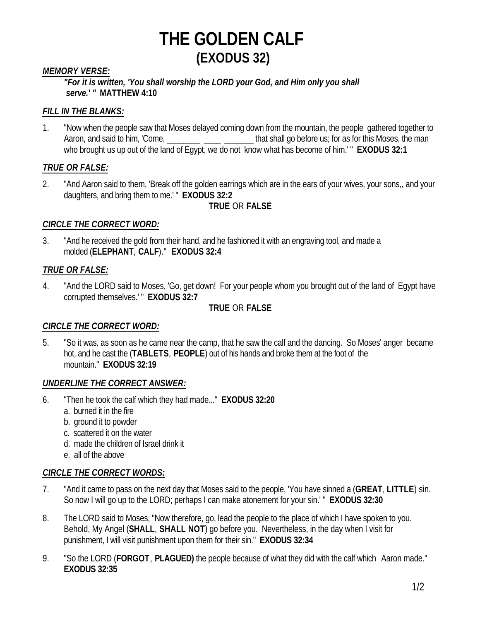## *MEMORY VERSE:*

*"For it is written, 'You shall worship the LORD your God, and Him only you shall serve.' "* **MATTHEW 4:10**

## *FILL IN THE BLANKS:*

1. "Now when the people saw that Moses delayed coming down from the mountain, the people gathered together to Aaron, and said to him, 'Come, the man are that shall go before us; for as for this Moses, the man who brought us up out of the land of Egypt, we do not know what has become of him.' " **EXODUS 32:1** 

## *TRUE OR FALSE:*

2. "And Aaron said to them, 'Break off the golden earrings which are in the ears of your wives, your sons,, and your daughters, and bring them to me.' " **EXODUS 32:2**

#### **TRUE** OR **FALSE**

## *CIRCLE THE CORRECT WORD:*

3. "And he received the gold from their hand, and he fashioned it with an engraving tool, and made a molded (**ELEPHANT**, **CALF**)." **EXODUS 32:4**

## *TRUE OR FALSE:*

4. "And the LORD said to Moses, 'Go, get down! For your people whom you brought out of the land of Egypt have corrupted themselves.' " **EXODUS 32:7**

#### **TRUE** OR **FALSE**

## *CIRCLE THE CORRECT WORD:*

5. "So it was, as soon as he came near the camp, that he saw the calf and the dancing. So Moses' anger became hot, and he cast the (**TABLETS**, **PEOPLE**) out of his hands and broke them at the foot of the mountain." **EXODUS 32:19**

#### *UNDERLINE THE CORRECT ANSWER:*

- 6. "Then he took the calf which they had made..." **EXODUS 32:20**
	- a. burned it in the fire
	- b. ground it to powder
	- c. scattered it on the water
	- d. made the children of Israel drink it
	- e. all of the above

## *CIRCLE THE CORRECT WORDS:*

- 7. "And it came to pass on the next day that Moses said to the people, 'You have sinned a (**GREAT**, **LITTLE**) sin. So now I will go up to the LORD; perhaps I can make atonement for your sin.' " **EXODUS 32:30**
- 8. The LORD said to Moses, "Now therefore, go, lead the people to the place of which I have spoken to you. Behold, My Angel (**SHALL**, **SHALL NOT**) go before you. Nevertheless, in the day when I visit for punishment, I will visit punishment upon them for their sin." **EXODUS 32:34**
- 9. "So the LORD (**FORGOT**, **PLAGUED)** the people because of what they did with the calf which Aaron made." **EXODUS 32:35**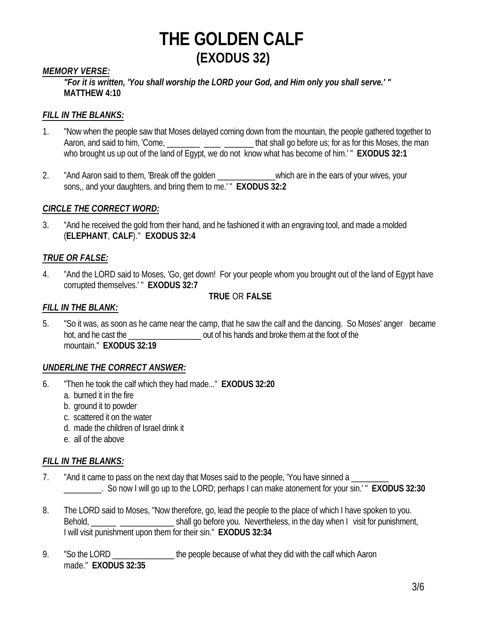## *MEMORY VERSE:*

*"For it is written, 'You shall worship the LORD your God, and Him only you shall serve.' "*  **MATTHEW 4:10**

#### *FILL IN THE BLANKS:*

- 1. "Now when the people saw that Moses delayed coming down from the mountain, the people gathered together to Aaron, and said to him, 'Come, \_\_\_\_\_\_\_\_ \_\_\_\_\_ \_\_\_\_\_\_\_\_ that shall go before us; for as for this Moses, the man who brought us up out of the land of Egypt, we do not know what has become of him.' " **EXODUS 32:1**
- 2. "And Aaron said to them, 'Break off the golden entity which are in the ears of your wives, your sons,, and your daughters, and bring them to me.' " **EXODUS 32:2**

#### *CIRCLE THE CORRECT WORD:*

3. "And he received the gold from their hand, and he fashioned it with an engraving tool, and made a molded (**ELEPHANT**, **CALF**)." **EXODUS 32:4**

#### *TRUE OR FALSE:*

4. "And the LORD said to Moses, 'Go, get down! For your people whom you brought out of the land of Egypt have corrupted themselves.' " **EXODUS 32:7**

#### **TRUE** OR **FALSE**

#### *FILL IN THE BLANK:*

5. "So it was, as soon as he came near the camp, that he saw the calf and the dancing. So Moses' anger became hot, and he cast the  $\qquad \qquad$  out of his hands and broke them at the foot of the mountain." **EXODUS 32:19**

## *UNDERLINE THE CORRECT ANSWER:*

- 6. "Then he took the calf which they had made..." **EXODUS 32:20**
	- a. burned it in the fire
	- b. ground it to powder
	- c. scattered it on the water
	- d. made the children of Israel drink it
	- e. all of the above

#### *FILL IN THE BLANKS:*

- 7. "And it came to pass on the next day that Moses said to the people, 'You have sinned a \_\_\_\_\_\_\_\_\_. So now I will go up to the LORD; perhaps I can make atonement for your sin.' " **EXODUS 32:30**
- 8. The LORD said to Moses, "Now therefore, go, lead the people to the place of which I have spoken to you. Behold, \_\_\_\_\_\_ \_\_\_\_\_\_\_\_\_\_\_\_\_\_\_\_\_\_\_\_\_\_\_\_\_\_ shall go before you. Nevertheless, in the day when I visit for punishment, I will visit punishment upon them for their sin." **EXODUS 32:34**
- 9. "So the LORD the people because of what they did with the calf which Aaron made." **EXODUS 32:35**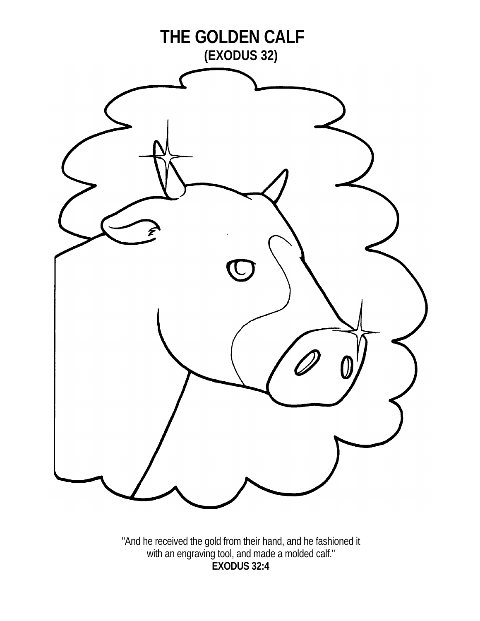

"And he received the gold from their hand, and he fashioned it with an engraving tool, and made a molded calf." **EXODUS 32:4**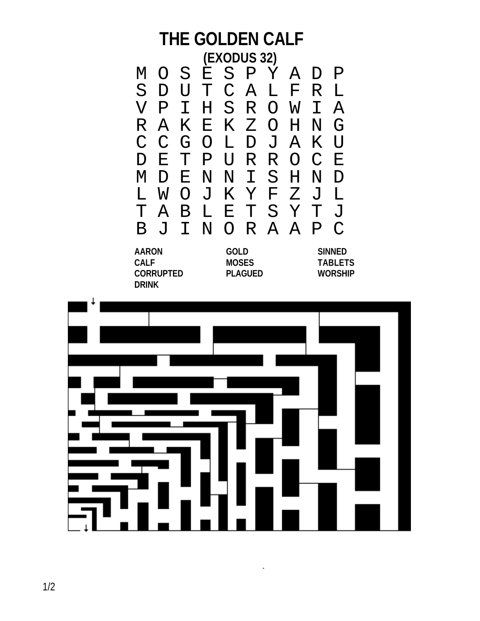## **THE GOLDEN CALF (EXODUS 32)** M O S E S P Y A D P D U T C A L F<br>P I H S R O W V P I H S R O W I A R A K E K Z O H N<br>C C G O L D J A K C C G O L D J A K U D E T P U R R O C E M D E N N I S H N D L W O J K Y F Z J L T A B L E T S Y T J B J I N O R A A P C **AARON GOLD SINNED CALF MOSES TABLETS CORRUPTED PLAGUED WORSHIP DRINK**



 $\cdot$ 

t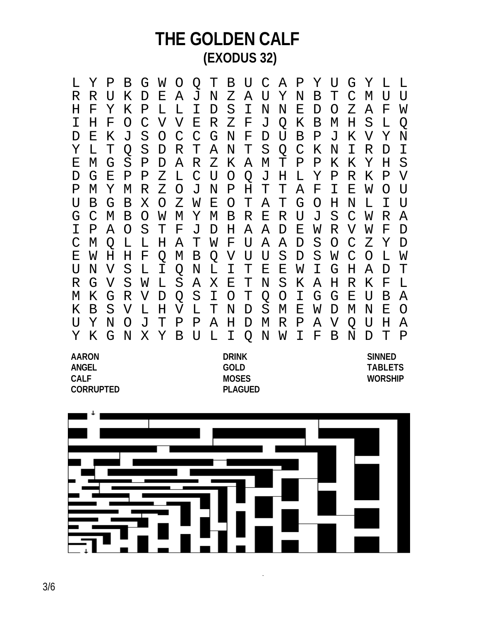L Y P B G W O Q T B U C A P Y U G Y L L R R U K D E A J N Z A U Y N B T C M U U H F Y K P L L I D S I N N E D O Z A F W I H F O C V V E R Z F J Q K B M H S L Q D E K J S O C C G N F D U B P J K V Y N Y L T Q S D R T A N T S Q C K N I R D I E M G S P D A R Z K A M T P P K K Y H S D G E P P Z L C U O Q J H L Y P R K P V P M Y M R Z O J N P H T T A F I E W O U U B G B X O Z W E O T A T G O H N L I U G C M B O W M Y M B R E R U J S C W R A I P A O S T F J D H A A D E W R V W F D C M Q L L H A T W F U A A D S O C Z Y D E W H H F Q M B Q V U U S D S W C O L W U N V S L I Q N L I T E E W I G H A D T R G V S W L S A X E T N S K A H R K F L M K G R V D Q S I O T Q O I G G E U B A K B S V L H V L T N D S M E W D M N E O U Y N O J T P P A H D M R P A V Q U H A Y K G N X Y B U L I Q N W I F B N D T P

**CORRUPTED PLAGUED**

**AARON DRINK SINNED ANGEL GOLD TABLETS CALF MOSES WORSHIP**



 $\overline{\phantom{a}}$